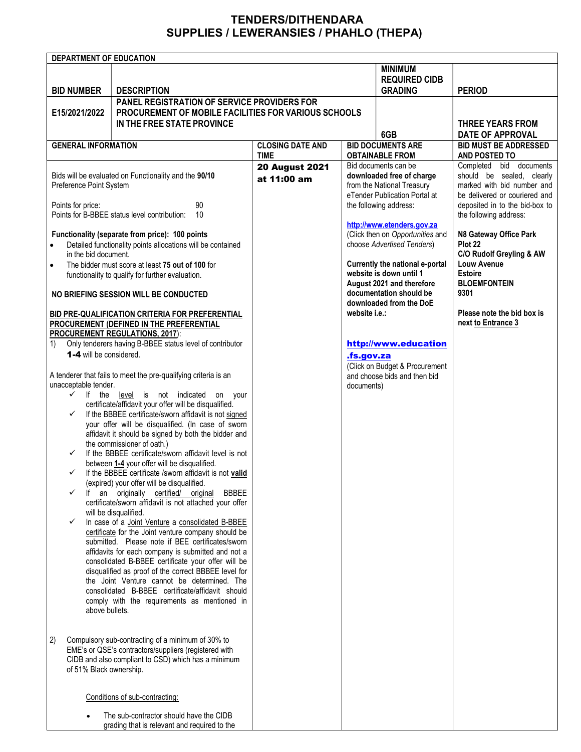## TENDERS/DITHENDARA SUPPLIES / LEWERANSIES / PHAHLO (THEPA)

|                                                                                                              | DEPARTMENT OF EDUCATION                                                                 |                                                     |                               |                                                                |                                |
|--------------------------------------------------------------------------------------------------------------|-----------------------------------------------------------------------------------------|-----------------------------------------------------|-------------------------------|----------------------------------------------------------------|--------------------------------|
|                                                                                                              |                                                                                         |                                                     |                               | <b>MINIMUM</b>                                                 |                                |
|                                                                                                              |                                                                                         |                                                     |                               | <b>REQUIRED CIDB</b>                                           |                                |
| <b>BID NUMBER</b>                                                                                            | <b>DESCRIPTION</b>                                                                      |                                                     |                               | <b>GRADING</b>                                                 | <b>PERIOD</b>                  |
|                                                                                                              | <b>PANEL REGISTRATION OF SERVICE PROVIDERS FOR</b>                                      |                                                     |                               |                                                                |                                |
| E15/2021/2022                                                                                                | PROCUREMENT OF MOBILE FACILITIES FOR VARIOUS SCHOOLS                                    |                                                     |                               |                                                                |                                |
|                                                                                                              | IN THE FREE STATE PROVINCE                                                              |                                                     |                               |                                                                | <b>THREE YEARS FROM</b>        |
|                                                                                                              |                                                                                         |                                                     |                               | 6GB                                                            | <b>DATE OF APPROVAL</b>        |
| <b>GENERAL INFORMATION</b>                                                                                   |                                                                                         | <b>CLOSING DATE AND</b><br><b>BID DOCUMENTS ARE</b> |                               | <b>BID MUST BE ADDRESSED</b>                                   |                                |
|                                                                                                              |                                                                                         | <b>TIME</b>                                         |                               | <b>OBTAINABLE FROM</b>                                         | AND POSTED TO                  |
|                                                                                                              |                                                                                         | <b>20 August 2021</b>                               |                               | Bid documents can be                                           | Completed bid documents        |
|                                                                                                              | Bids will be evaluated on Functionality and the 90/10                                   |                                                     |                               | downloaded free of charge                                      | should be sealed, clearly      |
| Preference Point System                                                                                      |                                                                                         | at 11:00 am                                         |                               | from the National Treasury                                     | marked with bid number and     |
|                                                                                                              |                                                                                         |                                                     | eTender Publication Portal at |                                                                | be delivered or couriered and  |
| 90<br>Points for price:                                                                                      |                                                                                         |                                                     |                               | the following address:                                         | deposited in to the bid-box to |
| Points for B-BBEE status level contribution:<br>10                                                           |                                                                                         |                                                     |                               |                                                                | the following address:         |
|                                                                                                              |                                                                                         |                                                     |                               | http://www.etenders.gov.za                                     |                                |
|                                                                                                              | Functionality (separate from price): 100 points                                         |                                                     |                               | (Click then on Opportunities and                               | N8 Gateway Office Park         |
| $\bullet$                                                                                                    | Detailed functionality points allocations will be contained                             |                                                     |                               | choose Advertised Tenders)                                     | Plot 22                        |
|                                                                                                              | in the bid document.                                                                    |                                                     |                               |                                                                | C/O Rudolf Greyling & AW       |
| $\bullet$                                                                                                    | The bidder must score at least 75 out of 100 for                                        |                                                     |                               | Currently the national e-portal                                | Louw Avenue                    |
|                                                                                                              | functionality to qualify for further evaluation.                                        |                                                     |                               | website is down until 1                                        | <b>Estoire</b>                 |
|                                                                                                              |                                                                                         |                                                     |                               | August 2021 and therefore                                      | <b>BLOEMFONTEIN</b>            |
| NO BRIEFING SESSION WILL BE CONDUCTED                                                                        |                                                                                         |                                                     |                               | documentation should be                                        | 9301                           |
|                                                                                                              |                                                                                         |                                                     | website i.e.:                 | downloaded from the DoE                                        | Please note the bid box is     |
| BID PRE-QUALIFICATION CRITERIA FOR PREFERENTIAL<br>PROCUREMENT (DEFINED IN THE PREFERENTIAL                  |                                                                                         |                                                     |                               |                                                                | next to Entrance 3             |
|                                                                                                              |                                                                                         |                                                     |                               |                                                                |                                |
| <b>PROCUREMENT REGULATIONS, 2017):</b><br>Only tenderers having B-BBEE status level of contributor           |                                                                                         |                                                     |                               | http://www.education                                           |                                |
| 1)<br><b>1-4</b> will be considered.                                                                         |                                                                                         |                                                     |                               |                                                                |                                |
|                                                                                                              |                                                                                         |                                                     | <u>.fs.gov.za</u>             |                                                                |                                |
|                                                                                                              | A tenderer that fails to meet the pre-qualifying criteria is an                         |                                                     |                               | (Click on Budget & Procurement<br>and choose bids and then bid |                                |
| unacceptable tender.                                                                                         |                                                                                         |                                                     | documents)                    |                                                                |                                |
| $\checkmark$                                                                                                 | If the<br>level is not indicated<br>on<br>your                                          |                                                     |                               |                                                                |                                |
|                                                                                                              | certificate/affidavit your offer will be disqualified.                                  |                                                     |                               |                                                                |                                |
| $\checkmark$                                                                                                 | If the BBBEE certificate/sworn affidavit is not signed                                  |                                                     |                               |                                                                |                                |
|                                                                                                              | your offer will be disqualified. (In case of sworn                                      |                                                     |                               |                                                                |                                |
|                                                                                                              | affidavit it should be signed by both the bidder and                                    |                                                     |                               |                                                                |                                |
|                                                                                                              | the commissioner of oath.)                                                              |                                                     |                               |                                                                |                                |
| $\checkmark$                                                                                                 | If the BBBEE certificate/sworn affidavit level is not                                   |                                                     |                               |                                                                |                                |
|                                                                                                              | between 1-4 your offer will be disqualified.                                            |                                                     |                               |                                                                |                                |
| $\checkmark$                                                                                                 | If the BBBEE certificate /sworn affidavit is not valid                                  |                                                     |                               |                                                                |                                |
|                                                                                                              | (expired) your offer will be disqualified.                                              |                                                     |                               |                                                                |                                |
| lf                                                                                                           | an<br>originally<br>certified/<br>original<br><b>BBBEE</b>                              |                                                     |                               |                                                                |                                |
|                                                                                                              | certificate/sworn affidavit is not attached your offer<br>will be disqualified.         |                                                     |                               |                                                                |                                |
| ✓                                                                                                            | In case of a Joint Venture a consolidated B-BBEE                                        |                                                     |                               |                                                                |                                |
|                                                                                                              | certificate for the Joint venture company should be                                     |                                                     |                               |                                                                |                                |
|                                                                                                              | submitted. Please note if BEE certificates/sworn                                        |                                                     |                               |                                                                |                                |
|                                                                                                              | affidavits for each company is submitted and not a                                      |                                                     |                               |                                                                |                                |
|                                                                                                              | consolidated B-BBEE certificate your offer will be                                      |                                                     |                               |                                                                |                                |
|                                                                                                              | disqualified as proof of the correct BBBEE level for                                    |                                                     |                               |                                                                |                                |
|                                                                                                              | the Joint Venture cannot be determined. The                                             |                                                     |                               |                                                                |                                |
|                                                                                                              | consolidated B-BBEE certificate/affidavit should                                        |                                                     |                               |                                                                |                                |
|                                                                                                              | comply with the requirements as mentioned in                                            |                                                     |                               |                                                                |                                |
|                                                                                                              | above bullets.                                                                          |                                                     |                               |                                                                |                                |
|                                                                                                              |                                                                                         |                                                     |                               |                                                                |                                |
|                                                                                                              |                                                                                         |                                                     |                               |                                                                |                                |
| 2)                                                                                                           | Compulsory sub-contracting of a minimum of 30% to                                       |                                                     |                               |                                                                |                                |
| EME's or QSE's contractors/suppliers (registered with<br>CIDB and also compliant to CSD) which has a minimum |                                                                                         |                                                     |                               |                                                                |                                |
| of 51% Black ownership.                                                                                      |                                                                                         |                                                     |                               |                                                                |                                |
|                                                                                                              |                                                                                         |                                                     |                               |                                                                |                                |
|                                                                                                              |                                                                                         |                                                     |                               |                                                                |                                |
|                                                                                                              | Conditions of sub-contracting:                                                          |                                                     |                               |                                                                |                                |
|                                                                                                              |                                                                                         |                                                     |                               |                                                                |                                |
|                                                                                                              | The sub-contractor should have the CIDB<br>grading that is relevant and required to the |                                                     |                               |                                                                |                                |